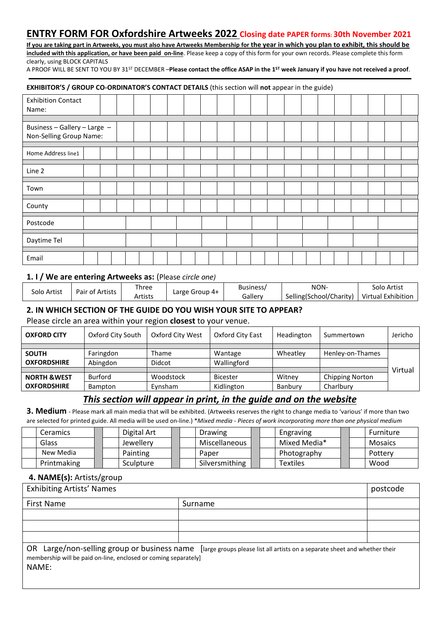# **ENTRY FORM FOR Oxfordshire Artweeks 2022 Closing date PAPER forms: 30th November 2021**

**If you are taking part in Artweeks, you must also have Artweeks Membership for the year in which you plan to exhibit, this should be included with this application, or have been paid on-line**. Please keep a copy of this form for your own records. Please complete this form clearly, using BLOCK CAPITALS

A PROOF WILL BE SENT TO YOU BY 31ST DECEMBER –**Please contact the office ASAP in the 1ST week January if you have not received a proof**.

#### **EXHIBITOR'S / GROUP CO-ORDINATOR'S CONTACT DETAILS** (this section will **not** appear in the guide)

| <b>Exhibition Contact</b><br>Name: |  |  |  |  |  |  |  |  |  |  |
|------------------------------------|--|--|--|--|--|--|--|--|--|--|
|                                    |  |  |  |  |  |  |  |  |  |  |
| Business - Gallery - Large -       |  |  |  |  |  |  |  |  |  |  |
| Non-Selling Group Name:            |  |  |  |  |  |  |  |  |  |  |
|                                    |  |  |  |  |  |  |  |  |  |  |
| Home Address line1                 |  |  |  |  |  |  |  |  |  |  |
|                                    |  |  |  |  |  |  |  |  |  |  |
| Line 2                             |  |  |  |  |  |  |  |  |  |  |
|                                    |  |  |  |  |  |  |  |  |  |  |
| Town                               |  |  |  |  |  |  |  |  |  |  |
|                                    |  |  |  |  |  |  |  |  |  |  |
| County                             |  |  |  |  |  |  |  |  |  |  |
|                                    |  |  |  |  |  |  |  |  |  |  |
| Postcode                           |  |  |  |  |  |  |  |  |  |  |
|                                    |  |  |  |  |  |  |  |  |  |  |
| Daytime Tel                        |  |  |  |  |  |  |  |  |  |  |
|                                    |  |  |  |  |  |  |  |  |  |  |
| Email                              |  |  |  |  |  |  |  |  |  |  |

### **1. I / We are entering Artweeks as:** (Please *circle one)*

| Solo Artist | Pair of Artists | . hree  | Large Group $4+$ | Business/ | NON-                                         | Solo Artist |  |
|-------------|-----------------|---------|------------------|-----------|----------------------------------------------|-------------|--|
|             |                 | Artists |                  | Gallerv   | Selling(School/Charity)   Virtual Exhibition |             |  |

## **2. IN WHICH SECTION OF THE GUIDE DO YOU WISH YOUR SITE TO APPEAR?**

Please circle an area within your region **closest** to your venue.

| <b>OXFORD CITY</b>      | Oxford City South | Oxford City West | Oxford City East | Headington | Summertown             | Jericho |
|-------------------------|-------------------|------------------|------------------|------------|------------------------|---------|
|                         |                   |                  |                  |            |                        |         |
| <b>SOUTH</b>            | Faringdon         | <b>Thame</b>     | Wantage          | Wheatley   | Henley-on-Thames       |         |
| <b>OXFORDSHIRE</b>      | Abingdon          | Didcot           | Wallingford      |            |                        |         |
|                         |                   |                  |                  |            |                        | Virtual |
| <b>NORTH &amp; WEST</b> | <b>Burford</b>    | Woodstock        | <b>Bicester</b>  | Witney     | <b>Chipping Norton</b> |         |
| <b>OXFORDSHIRE</b>      | <b>Bampton</b>    | Eynsham          | Kidlington       | Banbury    | Charlbury              |         |

## *This section will appear in print, in the guide and on the website*

**3. Medium** - Please mark all main media that will be exhibited. (Artweeks reserves the right to change media to 'various' if more than two are selected for printed guide. All media will be used on-line.) \**Mixed media - Pieces of work incorporating more than one physical medium*

| Ceramics .  | Digital Art | <b>Drawing</b> | Engraving    |  | Furniture      |
|-------------|-------------|----------------|--------------|--|----------------|
| Glass       | Jewellery   | Miscellaneous  | Mixed Media* |  | <b>Mosaics</b> |
| New Media   | Painting    | Paper          | Photography  |  | Pottery        |
| Printmaking | Sculpture   | Silversmithing | Textiles     |  | Wood           |

### **4. NAME(s):** Artists/group

| <b>Exhibiting Artists' Names</b>                                          |                                                                                                                         |  |  |  |  |  |
|---------------------------------------------------------------------------|-------------------------------------------------------------------------------------------------------------------------|--|--|--|--|--|
| First Name                                                                | Surname                                                                                                                 |  |  |  |  |  |
|                                                                           |                                                                                                                         |  |  |  |  |  |
|                                                                           |                                                                                                                         |  |  |  |  |  |
|                                                                           |                                                                                                                         |  |  |  |  |  |
| membership will be paid on-line, enclosed or coming separately]<br>NANAE. | OR Large/non-selling group or business name [large groups please list all artists on a separate sheet and whether their |  |  |  |  |  |

NAME: